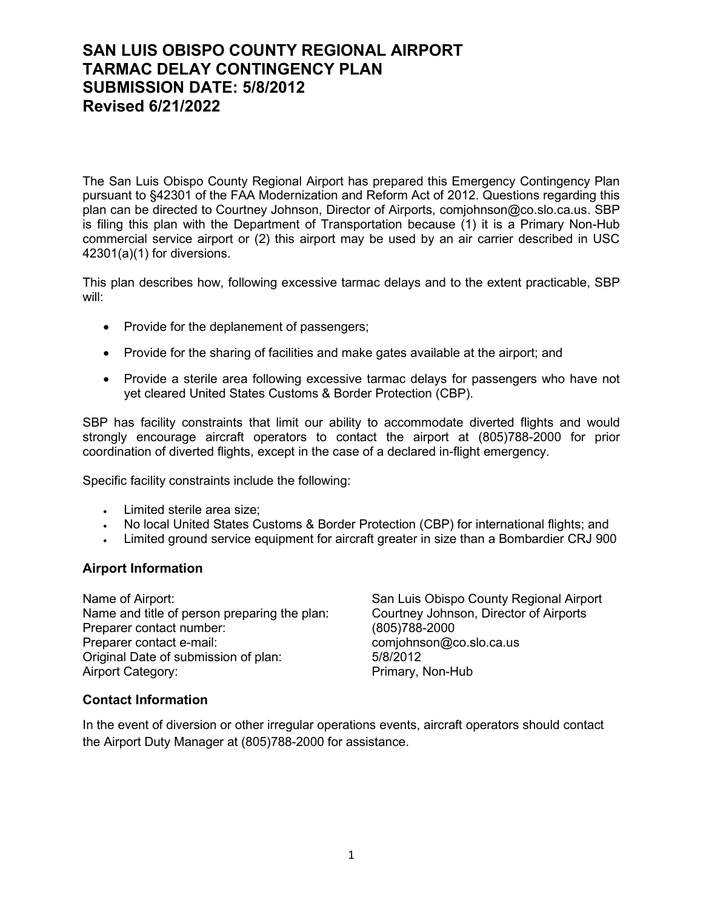# **SAN LUIS OBISPO COUNTY REGIONAL AIRPORT TARMAC DELAY CONTINGENCY PLAN SUBMISSION DATE: 5/8/2012 Revised 6/21/2022**

The San Luis Obispo County Regional Airport has prepared this Emergency Contingency Plan pursuant to §42301 of the FAA Modernization and Reform Act of 2012. Questions regarding this plan can be directed to Courtney Johnson, Director of Airports, comjohnson@co.slo.ca.us. SBP is filing this plan with the Department of Transportation because (1) it is a Primary Non-Hub commercial service airport or (2) this airport may be used by an air carrier described in USC 42301(a)(1) for diversions.

This plan describes how, following excessive tarmac delays and to the extent practicable, SBP will:

- Provide for the deplanement of passengers;
- Provide for the sharing of facilities and make gates available at the airport; and
- Provide a sterile area following excessive tarmac delays for passengers who have not yet cleared United States Customs & Border Protection (CBP).

SBP has facility constraints that limit our ability to accommodate diverted flights and would strongly encourage aircraft operators to contact the airport at (805)788-2000 for prior coordination of diverted flights, except in the case of a declared in-flight emergency.

Specific facility constraints include the following:

- Limited sterile area size;
- No local United States Customs & Border Protection (CBP) for international flights; and
- Limited ground service equipment for aircraft greater in size than a Bombardier CRJ 900

### **Airport Information**

Name of Airport:<br>
Name and title of person preparing the plan:<br>
Courtney Johnson, Director of Airports Name and title of person preparing the plan: Preparer contact number: (805)788-2000 Preparer contact e-mail:<br>
Original Date of submission of plan:<br>
5/8/2012 Original Date of submission of plan: Airport Category: Primary, Non-Hub

### **Contact Information**

In the event of diversion or other irregular operations events, aircraft operators should contact the Airport Duty Manager at (805)788-2000 for assistance.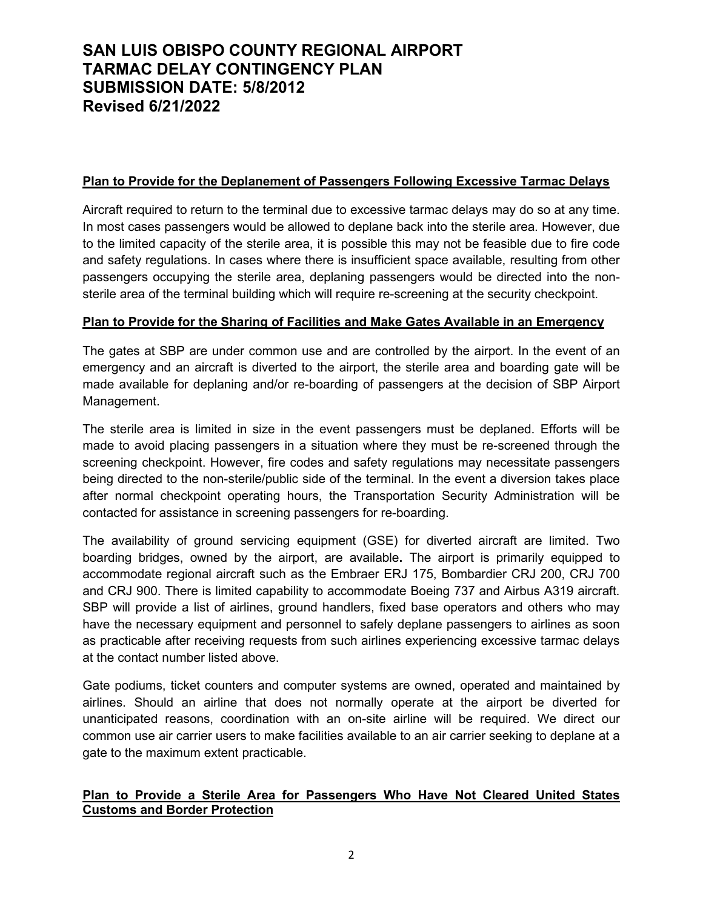# **SAN LUIS OBISPO COUNTY REGIONAL AIRPORT TARMAC DELAY CONTINGENCY PLAN SUBMISSION DATE: 5/8/2012 Revised 6/21/2022**

### **Plan to Provide for the Deplanement of Passengers Following Excessive Tarmac Delays**

Aircraft required to return to the terminal due to excessive tarmac delays may do so at any time. In most cases passengers would be allowed to deplane back into the sterile area. However, due to the limited capacity of the sterile area, it is possible this may not be feasible due to fire code and safety regulations. In cases where there is insufficient space available, resulting from other passengers occupying the sterile area, deplaning passengers would be directed into the nonsterile area of the terminal building which will require re-screening at the security checkpoint.

### **Plan to Provide for the Sharing of Facilities and Make Gates Available in an Emergency**

The gates at SBP are under common use and are controlled by the airport. In the event of an emergency and an aircraft is diverted to the airport, the sterile area and boarding gate will be made available for deplaning and/or re-boarding of passengers at the decision of SBP Airport Management.

The sterile area is limited in size in the event passengers must be deplaned. Efforts will be made to avoid placing passengers in a situation where they must be re-screened through the screening checkpoint. However, fire codes and safety regulations may necessitate passengers being directed to the non-sterile/public side of the terminal. In the event a diversion takes place after normal checkpoint operating hours, the Transportation Security Administration will be contacted for assistance in screening passengers for re-boarding.

The availability of ground servicing equipment (GSE) for diverted aircraft are limited. Two boarding bridges, owned by the airport, are available**.** The airport is primarily equipped to accommodate regional aircraft such as the Embraer ERJ 175, Bombardier CRJ 200, CRJ 700 and CRJ 900. There is limited capability to accommodate Boeing 737 and Airbus A319 aircraft. SBP will provide a list of airlines, ground handlers, fixed base operators and others who may have the necessary equipment and personnel to safely deplane passengers to airlines as soon as practicable after receiving requests from such airlines experiencing excessive tarmac delays at the contact number listed above.

Gate podiums, ticket counters and computer systems are owned, operated and maintained by airlines. Should an airline that does not normally operate at the airport be diverted for unanticipated reasons, coordination with an on-site airline will be required. We direct our common use air carrier users to make facilities available to an air carrier seeking to deplane at a gate to the maximum extent practicable.

## **Plan to Provide a Sterile Area for Passengers Who Have Not Cleared United States Customs and Border Protection**